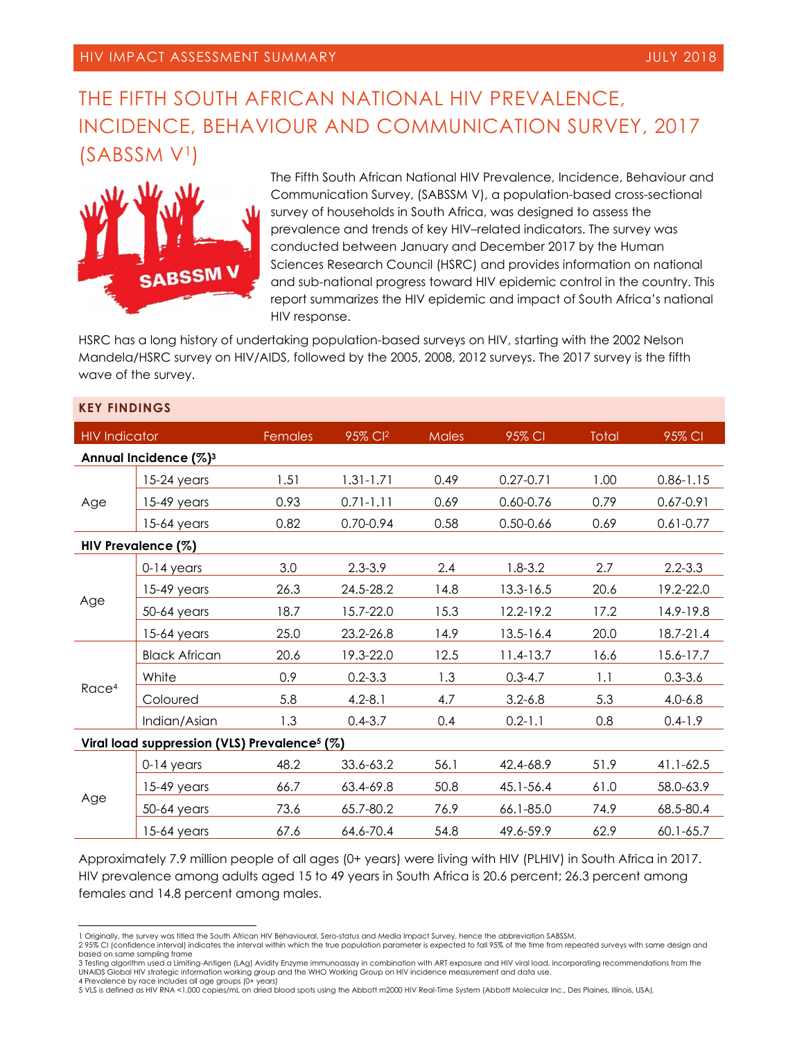# THE FIFTH SOUTH AFRICAN NATIONAL HIV PREVALENCE, INCIDENCE, BEHAVIOUR AND COMMUNICATION SURVEY, 2017 (SABSSM V1)



The Fifth South African National HIV Prevalence, Incidence, Behaviour and Communication Survey, (SABSSM V), a population-based cross-sectional survey of households in South Africa, was designed to assess the prevalence and trends of key HIV–related indicators. The survey was conducted between January and December 2017 by the Human Sciences Research Council (HSRC) and provides information on national and sub-national progress toward HIV epidemic control in the country. This report summarizes the HIV epidemic and impact of South Africa's national HIV response.

HSRC has a long history of undertaking population-based surveys on HIV, starting with the 2002 Nelson Mandela/HSRC survey on HIV/AIDS, followed by the 2005, 2008, 2012 surveys. The 2017 survey is the fifth wave of the survey.

| <b>KEY FINDINGS</b>                                      |                      |         |                     |       |               |       |               |
|----------------------------------------------------------|----------------------|---------|---------------------|-------|---------------|-------|---------------|
| <b>HIV Indicator</b>                                     |                      | Females | 95% Cl <sup>2</sup> | Males | 95% CI        | Total | 95% CI        |
| Annual Incidence (%) <sup>3</sup>                        |                      |         |                     |       |               |       |               |
| Age                                                      | $15-24$ years        | 1.51    | $1.31 - 1.71$       | 0.49  | $0.27 - 0.71$ | 1.00  | $0.86 - 1.15$ |
|                                                          | $15-49$ years        | 0.93    | $0.71 - 1.11$       | 0.69  | 0.60-0.76     | 0.79  | $0.67 - 0.91$ |
|                                                          | $15-64$ years        | 0.82    | 0.70-0.94           | 0.58  | $0.50 - 0.66$ | 0.69  | $0.61 - 0.77$ |
| HIV Prevalence (%)                                       |                      |         |                     |       |               |       |               |
| Age                                                      | $0-14$ years         | 3.0     | $2.3 - 3.9$         | 2.4   | $1.8 - 3.2$   | 2.7   | $2.2 - 3.3$   |
|                                                          | $15-49$ years        | 26.3    | 24.5-28.2           | 14.8  | 13.3-16.5     | 20.6  | 19.2-22.0     |
|                                                          | 50-64 years          | 18.7    | 15.7-22.0           | 15.3  | 12.2-19.2     | 17.2  | 14.9-19.8     |
|                                                          | $15-64$ years        | 25.0    | 23.2-26.8           | 14.9  | $13.5 - 16.4$ | 20.0  | 18.7-21.4     |
| Race <sup>4</sup>                                        | <b>Black African</b> | 20.6    | 19.3-22.0           | 12.5  | $11.4 - 13.7$ | 16.6  | 15.6-17.7     |
|                                                          | White                | 0.9     | $0.2 - 3.3$         | 1.3   | $0.3 - 4.7$   | 1.1   | $0.3 - 3.6$   |
|                                                          | Coloured             | 5.8     | $4.2 - 8.1$         | 4.7   | $3.2 - 6.8$   | 5.3   | $4.0 - 6.8$   |
|                                                          | Indian/Asian         | 1.3     | $0.4 - 3.7$         | 0.4   | $0.2 - 1.1$   | 0.8   | $0.4 - 1.9$   |
| Viral load suppression (VLS) Prevalence <sup>5</sup> (%) |                      |         |                     |       |               |       |               |
| Age                                                      | $0-14$ years         | 48.2    | 33.6-63.2           | 56.1  | 42.4-68.9     | 51.9  | 41.1-62.5     |
|                                                          | $15-49$ years        | 66.7    | 63.4-69.8           | 50.8  | 45.1-56.4     | 61.0  | 58.0-63.9     |
|                                                          | 50-64 years          | 73.6    | 65.7-80.2           | 76.9  | 66.1-85.0     | 74.9  | 68.5-80.4     |
|                                                          | $15-64$ years        | 67.6    | 64.6-70.4           | 54.8  | 49.6-59.9     | 62.9  | $60.1 - 65.7$ |

Approximately 7.9 million people of all ages (0+ years) were living with HIV (PLHIV) in South Africa in 2017. HIV prevalence among adults aged 15 to 49 years in South Africa is 20.6 percent; 26.3 percent among females and 14.8 percent among males.

5 VLS is defined as HIV RNA <1,000 copies/mL on dried blood spots using the Abbott m2000 HIV Real-Time System (Abbott Molecular Inc., Des Plaines, Illinois, USA)*.*

 $\overline{a}$ 1 Originally, the survey was titled the South African HIV Behavioural, Sero-status and Media Impact Survey, hence the abbreviation SABSSM.

<sup>2 95%</sup> CI (confidence interval) indicates the interval within which the true population parameter is expected to fall 95% of the time from repeated surveys with same design and based on same sampling frame

<sup>3</sup> Testing algorithm used a Limiting-Antigen (LAg) Avidity Enzyme immunoassay in combination with ART exposure and HIV viral load, incorporating recommendations from the UNAIDS Global HIV strategic information working group and the WHO Working Group on HIV incidence measurement and data use. 4 Prevalence by race includes all age groups (0+ years)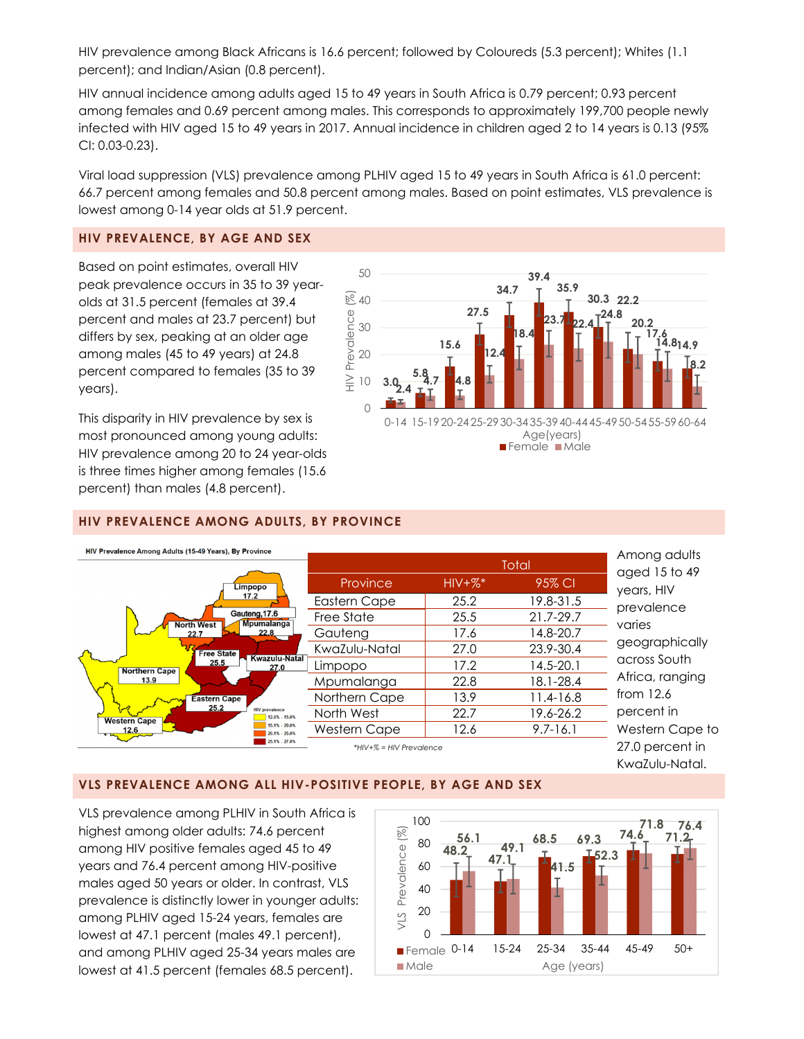HIV prevalence among Black Africans is 16.6 percent; followed by Coloureds (5.3 percent); Whites (1.1 percent); and Indian/Asian (0.8 percent).

HIV annual incidence among adults aged 15 to 49 years in South Africa is 0.79 percent; 0.93 percent among females and 0.69 percent among males. This corresponds to approximately 199,700 people newly infected with HIV aged 15 to 49 years in 2017. Annual incidence in children aged 2 to 14 years is 0.13 (95% CI: 0.03-0.23).

Viral load suppression (VLS) prevalence among PLHIV aged 15 to 49 years in South Africa is 61.0 percent: 66.7 percent among females and 50.8 percent among males. Based on point estimates, VLS prevalence is lowest among 0-14 year olds at 51.9 percent.

#### **HIV PREVALENCE, BY AGE AND SEX**

Based on point estimates, overall HIV peak prevalence occurs in 35 to 39 yearolds at 31.5 percent (females at 39.4 percent and males at 23.7 percent) but differs by sex, peaking at an older age among males (45 to 49 years) at 24.8 percent compared to females (35 to 39 years).

This disparity in HIV prevalence by sex is most pronounced among young adults: HIV prevalence among 20 to 24 year-olds is three times higher among females (15.6 percent) than males (4.8 percent).



# **HIV PREVALENCE AMONG ADULTS, BY PROVINCE**



## **VLS PREVALENCE AMONG ALL HIV-POSITIVE PEOPLE, BY AGE AND SEX**

VLS prevalence among PLHIV in South Africa is highest among older adults: 74.6 percent among HIV positive females aged 45 to 49 years and 76.4 percent among HIV-positive males aged 50 years or older. In contrast, VLS prevalence is distinctly lower in younger adults: among PLHIV aged 15-24 years, females are lowest at 47.1 percent (males 49.1 percent), and among PLHIV aged 25-34 years males are lowest at 41.5 percent (females 68.5 percent).

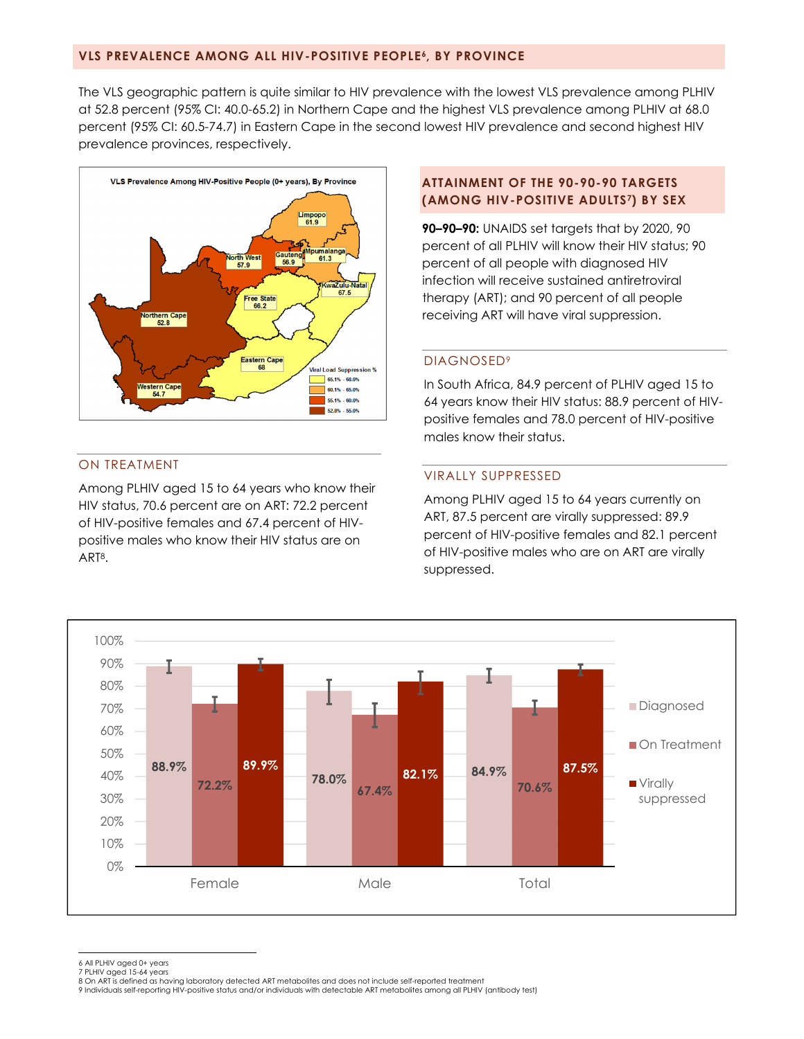#### **VLS PREVALENCE AMONG ALL HIV-POSITIVE PEOPLE6, BY PROVINCE**

The VLS geographic pattern is quite similar to HIV prevalence with the lowest VLS prevalence among PLHIV at 52.8 percent (95% CI: 40.0-65.2) in Northern Cape and the highest VLS prevalence among PLHIV at 68.0 percent (95% CI: 60.5-74.7) in Eastern Cape in the second lowest HIV prevalence and second highest HIV prevalence provinces, respectively.



## ON TREATMENT

Among PLHIV aged 15 to 64 years who know their HIV status, 70.6 percent are on ART: 72.2 percent of HIV-positive females and 67.4 percent of HIVpositive males who know their HIV status are on ART8.

## **ATTAINMENT OF THE 90-90-90 TARGETS (AMONG HIV-POSITIVE ADULTS7) BY SEX**

**90–90–90:** UNAIDS set targets that by 2020, 90 percent of all PLHIV will know their HIV status; 90 percent of all people with diagnosed HIV infection will receive sustained antiretroviral therapy (ART); and 90 percent of all people receiving ART will have viral suppression.

#### DIAGNOSED9

In South Africa, 84.9 percent of PLHIV aged 15 to 64 years know their HIV status: 88.9 percent of HIVpositive females and 78.0 percent of HIV-positive males know their status.

## VIRALLY SUPPRESSED

Among PLHIV aged 15 to 64 years currently on ART, 87.5 percent are virally suppressed: 89.9 percent of HIV-positive females and 82.1 percent of HIV-positive males who are on ART are virally suppressed.



6 All PLHIV aged 0+ years

l

<sup>7</sup> PLHIV aged 15-64 years 8 On ART is defined as having laboratory detected ART metabolites and does not include self-reported treatment

<sup>9</sup> Individuals self-reporting HIV-positive status and/or individuals with detectable ART metabolites among all PLHIV (antibody test)